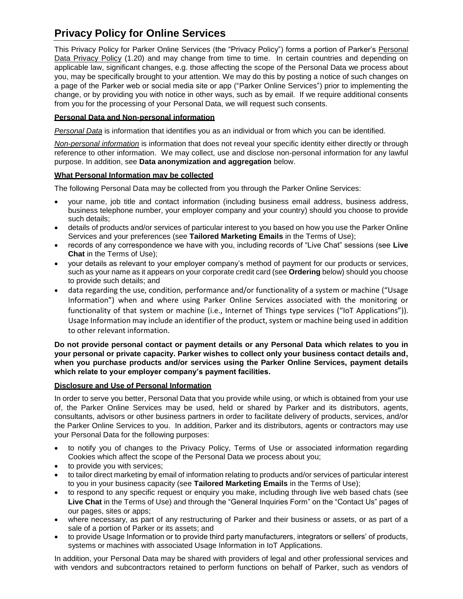# **Privacy Policy for Online Services**

This Privacy Policy for Parker Online Services (the "Privacy Policy") forms a portion of Parker's Personal Data Privacy Policy (1.20) and may change from time to time. In certain countries and depending on applicable law, significant changes, e.g. those affecting the scope of the Personal Data we process about you, may be specifically brought to your attention. We may do this by posting a notice of such changes on a page of the Parker web or social media site or app ("Parker Online Services") prior to implementing the change, or by providing you with notice in other ways, such as by email. If we require additional consents from you for the processing of your Personal Data, we will request such consents.

# **Personal Data and Non-personal information**

*Personal Data* is information that identifies you as an individual or from which you can be identified.

*Non-personal information* is information that does not reveal your specific identity either directly or through reference to other information. We may collect, use and disclose non-personal information for any lawful purpose. In addition, see **Data anonymization and aggregation** below.

# **What Personal Information may be collected**

The following Personal Data may be collected from you through the Parker Online Services:

- your name, job title and contact information (including business email address, business address, business telephone number, your employer company and your country) should you choose to provide such details;
- details of products and/or services of particular interest to you based on how you use the Parker Online Services and your preferences (see **Tailored Marketing Emails** in the Terms of Use);
- records of any correspondence we have with you, including records of "Live Chat" sessions (see **Live Chat** in the Terms of Use);
- your details as relevant to your employer company's method of payment for our products or services, such as your name as it appears on your corporate credit card (see **Ordering** below) should you choose to provide such details; and
- data regarding the use, condition, performance and/or functionality of a system or machine ("Usage Information") when and where using Parker Online Services associated with the monitoring or functionality of that system or machine (i.e., Internet of Things type services ("IoT Applications")). Usage Information may include an identifier of the product, system or machine being used in addition to other relevant information.

## **Do not provide personal contact or payment details or any Personal Data which relates to you in your personal or private capacity. Parker wishes to collect only your business contact details and, when you purchase products and/or services using the Parker Online Services, payment details which relate to your employer company's payment facilities.**

### **Disclosure and Use of Personal Information**

In order to serve you better, Personal Data that you provide while using, or which is obtained from your use of, the Parker Online Services may be used, held or shared by Parker and its distributors, agents, consultants, advisors or other business partners in order to facilitate delivery of products, services, and/or the Parker Online Services to you. In addition, Parker and its distributors, agents or contractors may use your Personal Data for the following purposes:

- to notify you of changes to the Privacy Policy, Terms of Use or associated information regarding Cookies which affect the scope of the Personal Data we process about you;
- to provide you with services;
- to tailor direct marketing by email of information relating to products and/or services of particular interest to you in your business capacity (see **Tailored Marketing Emails** in the Terms of Use);
- to respond to any specific request or enquiry you make, including through live web based chats (see **Live Chat** in the Terms of Use) and through the "General Inquiries Form" on the "Contact Us" pages of our pages, sites or apps;
- where necessary, as part of any restructuring of Parker and their business or assets, or as part of a sale of a portion of Parker or its assets; and
- to provide Usage Information or to provide third party manufacturers, integrators or sellers' of products, systems or machines with associated Usage Information in IoT Applications.

In addition, your Personal Data may be shared with providers of legal and other professional services and with vendors and subcontractors retained to perform functions on behalf of Parker, such as vendors of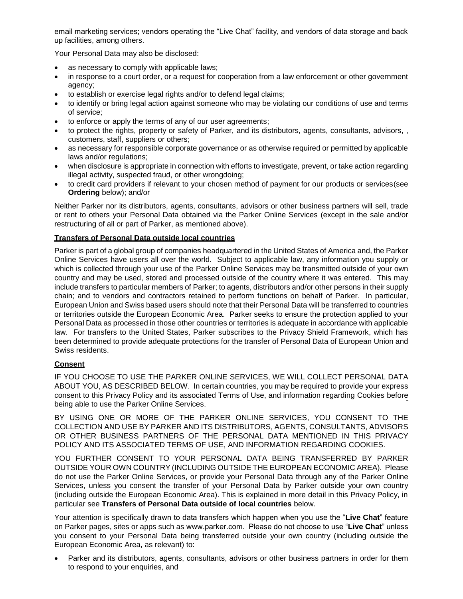email marketing services; vendors operating the "Live Chat" facility, and vendors of data storage and back up facilities, among others.

Your Personal Data may also be disclosed:

- as necessary to comply with applicable laws;
- in response to a court order, or a request for cooperation from a law enforcement or other government agency;
- to establish or exercise legal rights and/or to defend legal claims;
- to identify or bring legal action against someone who may be violating our conditions of use and terms of service;
- to enforce or apply the terms of any of our user agreements;
- to protect the rights, property or safety of Parker, and its distributors, agents, consultants, advisors, , customers, staff, suppliers or others;
- as necessary for responsible corporate governance or as otherwise required or permitted by applicable laws and/or regulations;
- when disclosure is appropriate in connection with efforts to investigate, prevent, or take action regarding illegal activity, suspected fraud, or other wrongdoing;
- to credit card providers if relevant to your chosen method of payment for our products or services(see **Ordering** below); and/or

Neither Parker nor its distributors, agents, consultants, advisors or other business partners will sell, trade or rent to others your Personal Data obtained via the Parker Online Services (except in the sale and/or restructuring of all or part of Parker, as mentioned above).

# **Transfers of Personal Data outside local countries**

Parker is part of a global group of companies headquartered in the United States of America and, the Parker Online Services have users all over the world. Subject to applicable law, any information you supply or which is collected through your use of the Parker Online Services may be transmitted outside of your own country and may be used, stored and processed outside of the country where it was entered. This may include transfers to particular members of Parker; to agents, distributors and/or other persons in their supply chain; and to vendors and contractors retained to perform functions on behalf of Parker. In particular, European Union and Swiss based users should note that their Personal Data will be transferred to countries or territories outside the European Economic Area. Parker seeks to ensure the protection applied to your Personal Data as processed in those other countries or territories is adequate in accordance with applicable law. For transfers to the United States, Parker subscribes to the Privacy Shield Framework, which has been determined to provide adequate protections for the transfer of Personal Data of European Union and Swiss residents.

# **Consent**

IF YOU CHOOSE TO USE THE PARKER ONLINE SERVICES, WE WILL COLLECT PERSONAL DATA ABOUT YOU, AS DESCRIBED BELOW. In certain countries, you may be required to provide your express consent to this Privacy Policy and its associated Terms of Use, and information regarding Cookies before being able to use the Parker Online Services.

BY USING ONE OR MORE OF THE PARKER ONLINE SERVICES, YOU CONSENT TO THE COLLECTION AND USE BY PARKER AND ITS DISTRIBUTORS, AGENTS, CONSULTANTS, ADVISORS OR OTHER BUSINESS PARTNERS OF THE PERSONAL DATA MENTIONED IN THIS PRIVACY POLICY AND ITS ASSOCIATED TERMS OF USE, AND INFORMATION REGARDING COOKIES.

YOU FURTHER CONSENT TO YOUR PERSONAL DATA BEING TRANSFERRED BY PARKER OUTSIDE YOUR OWN COUNTRY (INCLUDING OUTSIDE THE EUROPEAN ECONOMIC AREA). Please do not use the Parker Online Services, or provide your Personal Data through any of the Parker Online Services, unless you consent the transfer of your Personal Data by Parker outside your own country (including outside the European Economic Area). This is explained in more detail in this Privacy Policy, in particular see **Transfers of Personal Data outside of local countries** below.

Your attention is specifically drawn to data transfers which happen when you use the "**Live Chat**" feature on Parker pages, sites or apps such as www.parker.com. Please do not choose to use "**Live Chat**" unless you consent to your Personal Data being transferred outside your own country (including outside the European Economic Area, as relevant) to:

 Parker and its distributors, agents, consultants, advisors or other business partners in order for them to respond to your enquiries, and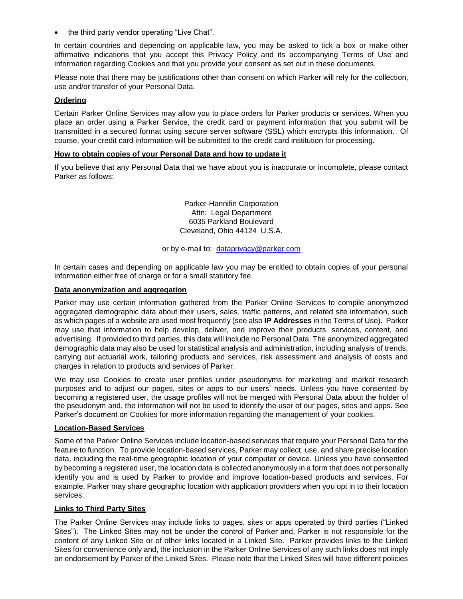the third party vendor operating "Live Chat".

In certain countries and depending on applicable law, you may be asked to tick a box or make other affirmative indications that you accept this Privacy Policy and its accompanying Terms of Use and information regarding Cookies and that you provide your consent as set out in these documents.

Please note that there may be justifications other than consent on which Parker will rely for the collection, use and/or transfer of your Personal Data.

# **Ordering**

Certain Parker Online Services may allow you to place orders for Parker products or services. When you place an order using a Parker Service, the credit card or payment information that you submit will be transmitted in a secured format using secure server software (SSL) which encrypts this information. Of course, your credit card information will be submitted to the credit card institution for processing.

### **How to obtain copies of your Personal Data and how to update it**

If you believe that any Personal Data that we have about you is inaccurate or incomplete, please contact Parker as follows:

> Parker-Hannifin Corporation Attn: Legal Department 6035 Parkland Boulevard Cleveland, Ohio 44124 U.S.A.

or by e-mail to: [dataprivacy@parker.com](mailto:dataprivacy@parker.com)

In certain cases and depending on applicable law you may be entitled to obtain copies of your personal information either free of charge or for a small statutory fee.

#### **Data anonymization and aggregation**

Parker may use certain information gathered from the Parker Online Services to compile anonymized aggregated demographic data about their users, sales, traffic patterns, and related site information, such as which pages of a website are used most frequently (see also **IP Addresses** in the Terms of Use). Parker may use that information to help develop, deliver, and improve their products, services, content, and advertising. If provided to third parties, this data will include no Personal Data. The anonymized aggregated demographic data may also be used for statistical analysis and administration, including analysis of trends, carrying out actuarial work, tailoring products and services, risk assessment and analysis of costs and charges in relation to products and services of Parker.

We may use Cookies to create user profiles under pseudonyms for marketing and market research purposes and to adjust our pages, sites or apps to our users' needs. Unless you have consented by becoming a registered user, the usage profiles will not be merged with Personal Data about the holder of the pseudonym and, the information will not be used to identify the user of our pages, sites and apps. See Parker's document on Cookies for more information regarding the management of your cookies.

### **Location-Based Services**

Some of the Parker Online Services include location-based services that require your Personal Data for the feature to function. To provide location-based services, Parker may collect, use, and share precise location data, including the real-time geographic location of your computer or device. Unless you have consented by becoming a registered user, the location data is collected anonymously in a form that does not personally identify you and is used by Parker to provide and improve location-based products and services. For example, Parker may share geographic location with application providers when you opt in to their location services.

### **Links to Third Party Sites**

The Parker Online Services may include links to pages, sites or apps operated by third parties ("Linked Sites"). The Linked Sites may not be under the control of Parker and, Parker is not responsible for the content of any Linked Site or of other links located in a Linked Site. Parker provides links to the Linked Sites for convenience only and, the inclusion in the Parker Online Services of any such links does not imply an endorsement by Parker of the Linked Sites. Please note that the Linked Sites will have different policies